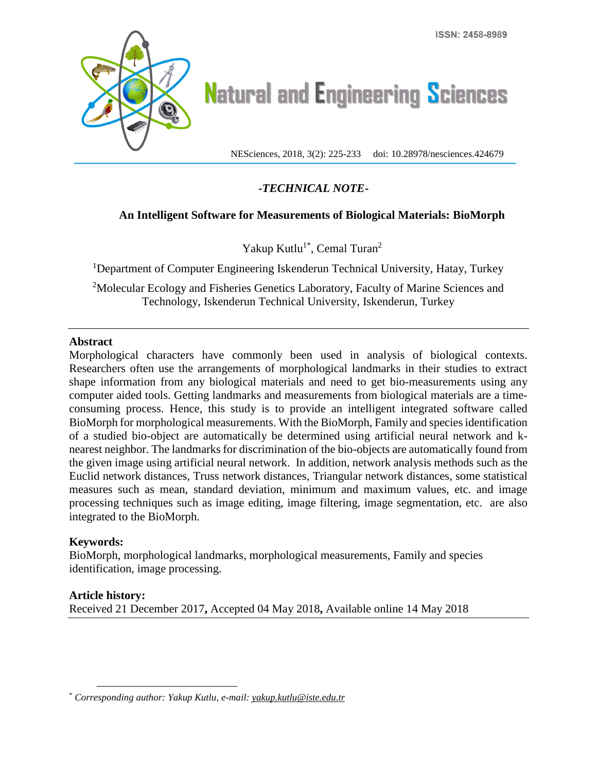

# **Natural and Engineering Sciences**

NESciences, 2018, 3(2): 225-233 doi: 10.28978/nesciences.424679

## **-***TECHNICAL NOTE***-**

## **An Intelligent Software for Measurements of Biological Materials: BioMorph**

Yakup Kutlu<sup>1\*</sup>, Cemal Turan<sup>2</sup>

<sup>1</sup>Department of Computer Engineering Iskenderun Technical University, Hatay, Turkey

<sup>2</sup>Molecular Ecology and Fisheries Genetics Laboratory, Faculty of Marine Sciences and Technology, Iskenderun Technical University, Iskenderun, Turkey

## **Abstract**

Morphological characters have commonly been used in analysis of biological contexts. Researchers often use the arrangements of morphological landmarks in their studies to extract shape information from any biological materials and need to get bio-measurements using any computer aided tools. Getting landmarks and measurements from biological materials are a timeconsuming process. Hence, this study is to provide an intelligent integrated software called BioMorph for morphological measurements. With the BioMorph, Family and species identification of a studied bio-object are automatically be determined using artificial neural network and knearest neighbor. The landmarks for discrimination of the bio-objects are automatically found from the given image using artificial neural network. In addition, network analysis methods such as the Euclid network distances, Truss network distances, Triangular network distances, some statistical measures such as mean, standard deviation, minimum and maximum values, etc. and image processing techniques such as image editing, image filtering, image segmentation, etc. are also integrated to the BioMorph.

## **Keywords:**

BioMorph, morphological landmarks, morphological measurements, Family and species identification, image processing.

## **Article history:**

 $\overline{a}$ 

Received 21 December 2017**,** Accepted 04 May 2018**,** Available online 14 May 2018

<sup>\*</sup> *Corresponding author: Yakup Kutlu, e-mail: yakup.kutlu@iste.edu.tr*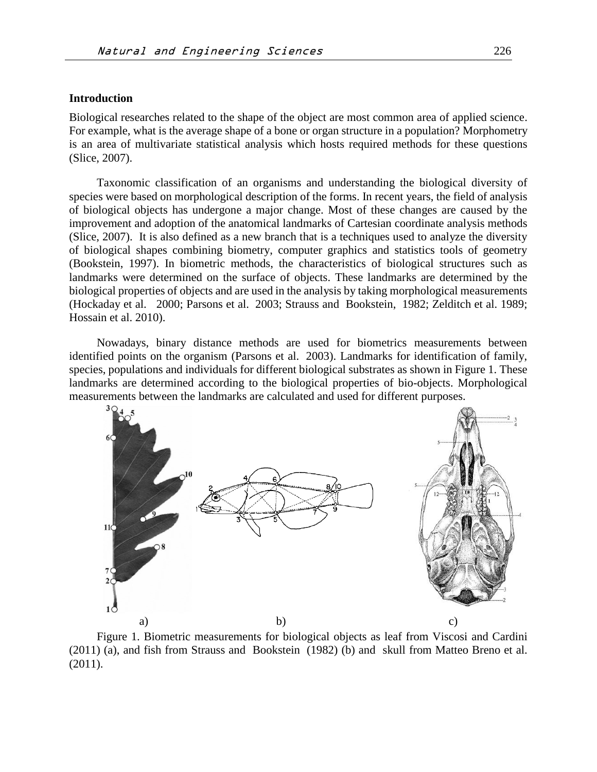#### **Introduction**

Biological researches related to the shape of the object are most common area of applied science. For example, what is the average shape of a bone or organ structure in a population? Morphometry is an area of multivariate statistical analysis which hosts required methods for these questions (Slice, 2007).

Taxonomic classification of an organisms and understanding the biological diversity of species were based on morphological description of the forms. In recent years, the field of analysis of biological objects has undergone a major change. Most of these changes are caused by the improvement and adoption of the anatomical landmarks of Cartesian coordinate analysis methods (Slice, 2007). It is also defined as a new branch that is a techniques used to analyze the diversity of biological shapes combining biometry, computer graphics and statistics tools of geometry (Bookstein, 1997). In biometric methods, the characteristics of biological structures such as landmarks were determined on the surface of objects. These landmarks are determined by the biological properties of objects and are used in the analysis by taking morphological measurements (Hockaday et al. 2000; Parsons et al. 2003; Strauss and Bookstein, 1982; Zelditch et al. 1989; Hossain et al. 2010).

Nowadays, binary distance methods are used for biometrics measurements between identified points on the organism (Parsons et al. 2003). Landmarks for identification of family, species, populations and individuals for different biological substrates as shown in Figure 1. These landmarks are determined according to the biological properties of bio-objects. Morphological measurements between the landmarks are calculated and used for different purposes.



Figure 1. Biometric measurements for biological objects as leaf from Viscosi and Cardini (2011) (a), and fish from Strauss and Bookstein (1982) (b) and skull from Matteo Breno et al. (2011).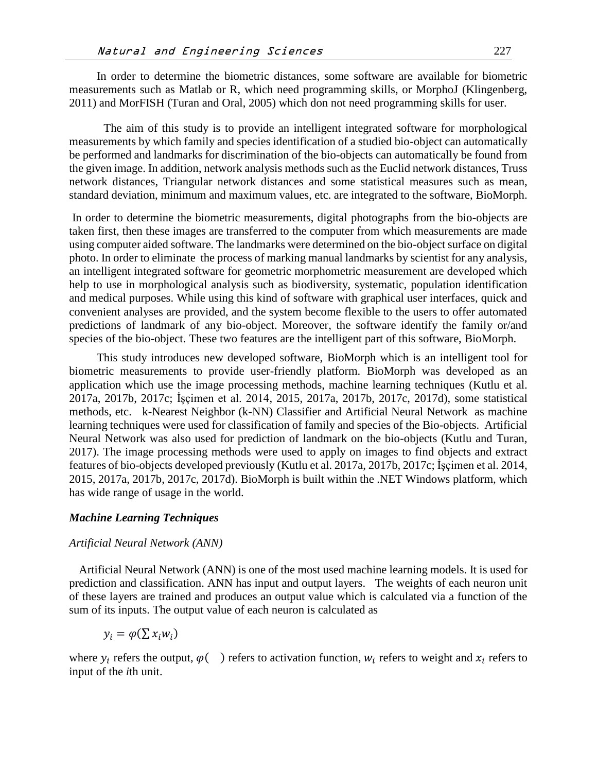In order to determine the biometric distances, some software are available for biometric measurements such as Matlab or R, which need programming skills, or MorphoJ (Klingenberg, 2011) and MorFISH (Turan and Oral, 2005) which don not need programming skills for user.

The aim of this study is to provide an intelligent integrated software for morphological measurements by which family and species identification of a studied bio-object can automatically be performed and landmarks for discrimination of the bio-objects can automatically be found from the given image. In addition, network analysis methods such as the Euclid network distances, Truss network distances, Triangular network distances and some statistical measures such as mean, standard deviation, minimum and maximum values, etc. are integrated to the software, BioMorph.

In order to determine the biometric measurements, digital photographs from the bio-objects are taken first, then these images are transferred to the computer from which measurements are made using computer aided software. The landmarks were determined on the bio-object surface on digital photo. In order to eliminate the process of marking manual landmarks by scientist for any analysis, an intelligent integrated software for geometric morphometric measurement are developed which help to use in morphological analysis such as biodiversity, systematic, population identification and medical purposes. While using this kind of software with graphical user interfaces, quick and convenient analyses are provided, and the system become flexible to the users to offer automated predictions of landmark of any bio-object. Moreover, the software identify the family or/and species of the bio-object. These two features are the intelligent part of this software, BioMorph.

This study introduces new developed software, BioMorph which is an intelligent tool for biometric measurements to provide user-friendly platform. BioMorph was developed as an application which use the image processing methods, machine learning techniques (Kutlu et al. 2017a, 2017b, 2017c; İşçimen et al. 2014, 2015, 2017a, 2017b, 2017c, 2017d), some statistical methods, etc. k-Nearest Neighbor (k-NN) Classifier and Artificial Neural Network as machine learning techniques were used for classification of family and species of the Bio-objects. Artificial Neural Network was also used for prediction of landmark on the bio-objects (Kutlu and Turan, 2017). The image processing methods were used to apply on images to find objects and extract features of bio-objects developed previously (Kutlu et al. 2017a, 2017b, 2017c; İşçimen et al. 2014, 2015, 2017a, 2017b, 2017c, 2017d). BioMorph is built within the .NET Windows platform, which has wide range of usage in the world.

#### *Machine Learning Techniques*

#### *Artificial Neural Network (ANN)*

Artificial Neural Network (ANN) is one of the most used machine learning models. It is used for prediction and classification. ANN has input and output layers. The weights of each neuron unit of these layers are trained and produces an output value which is calculated via a function of the sum of its inputs. The output value of each neuron is calculated as

$$
y_i = \varphi(\sum x_i w_i)
$$

where  $y_i$  refers the output,  $\varphi$   $\bigcirc$  ) refers to activation function,  $w_i$  refers to weight and  $x_i$  refers to input of the *i*th unit.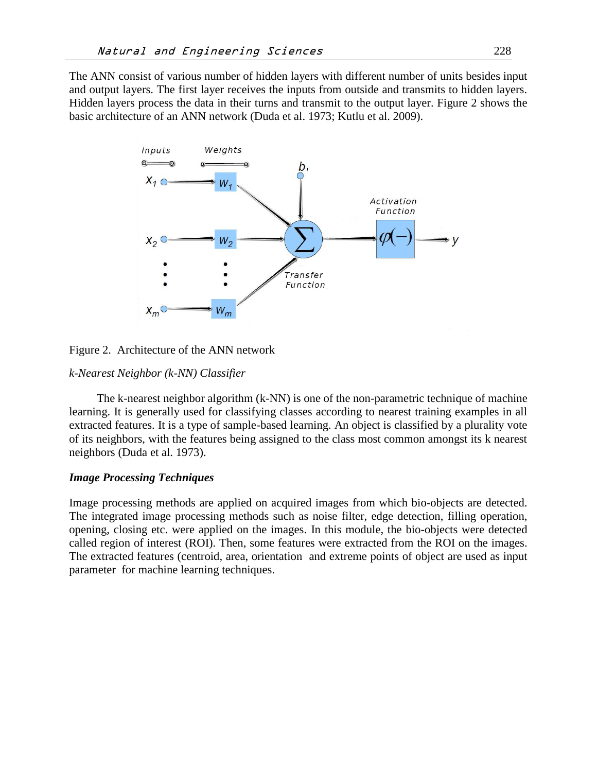The ANN consist of various number of hidden layers with different number of units besides input and output layers. The first layer receives the inputs from outside and transmits to hidden layers. Hidden layers process the data in their turns and transmit to the output layer. Figure 2 shows the basic architecture of an ANN network (Duda et al. 1973; Kutlu et al. 2009).



Figure 2. Architecture of the ANN network

#### *k-Nearest Neighbor (k-NN) Classifier*

The k-nearest neighbor algorithm (k-NN) is one of the non-parametric technique of machine learning. It is generally used for classifying classes according to nearest training examples in all extracted features. It is a type of sample-based learning. An object is classified by a plurality vote of its neighbors, with the features being assigned to the class most common amongst its k nearest neighbors (Duda et al. 1973).

## *Image Processing Techniques*

Image processing methods are applied on acquired images from which bio-objects are detected. The integrated image processing methods such as noise filter, edge detection, filling operation, opening, closing etc. were applied on the images. In this module, the bio-objects were detected called region of interest (ROI). Then, some features were extracted from the ROI on the images. The extracted features (centroid, area, orientation and extreme points of object are used as input parameter for machine learning techniques.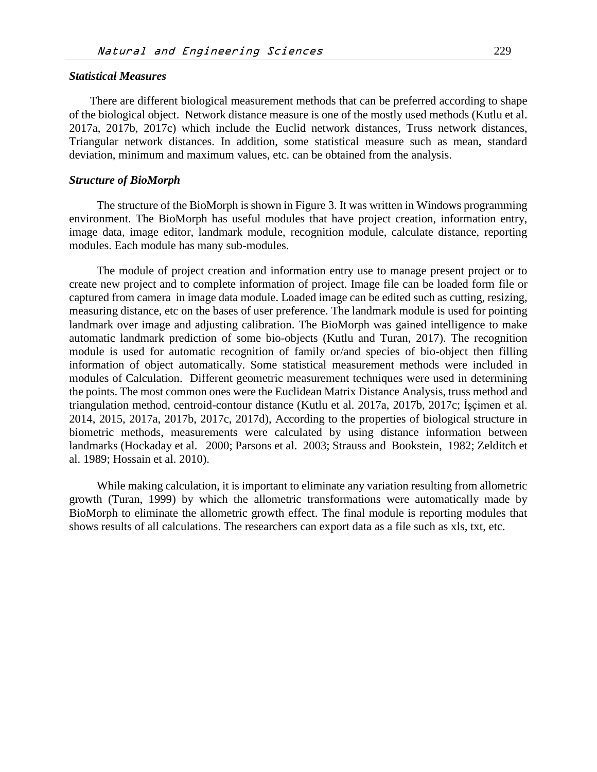## *Statistical Measures*

There are different biological measurement methods that can be preferred according to shape of the biological object. Network distance measure is one of the mostly used methods (Kutlu et al. 2017a, 2017b, 2017c) which include the Euclid network distances, Truss network distances, Triangular network distances. In addition, some statistical measure such as mean, standard deviation, minimum and maximum values, etc. can be obtained from the analysis.

#### *Structure of BioMorph*

The structure of the BioMorph is shown in Figure 3. It was written in Windows programming environment. The BioMorph has useful modules that have project creation, information entry, image data, image editor, landmark module, recognition module, calculate distance, reporting modules. Each module has many sub-modules.

The module of project creation and information entry use to manage present project or to create new project and to complete information of project. Image file can be loaded form file or captured from camera in image data module. Loaded image can be edited such as cutting, resizing, measuring distance, etc on the bases of user preference. The landmark module is used for pointing landmark over image and adjusting calibration. The BioMorph was gained intelligence to make automatic landmark prediction of some bio-objects (Kutlu and Turan, 2017). The recognition module is used for automatic recognition of family or/and species of bio-object then filling information of object automatically. Some statistical measurement methods were included in modules of Calculation. Different geometric measurement techniques were used in determining the points. The most common ones were the Euclidean Matrix Distance Analysis, truss method and triangulation method, centroid-contour distance (Kutlu et al. 2017a, 2017b, 2017c; İşçimen et al. 2014, 2015, 2017a, 2017b, 2017c, 2017d), According to the properties of biological structure in biometric methods, measurements were calculated by using distance information between landmarks (Hockaday et al. 2000; Parsons et al. 2003; Strauss and Bookstein, 1982; Zelditch et al. 1989; Hossain et al. 2010).

While making calculation, it is important to eliminate any variation resulting from allometric growth (Turan, 1999) by which the allometric transformations were automatically made by BioMorph to eliminate the allometric growth effect. The final module is reporting modules that shows results of all calculations. The researchers can export data as a file such as xls, txt, etc.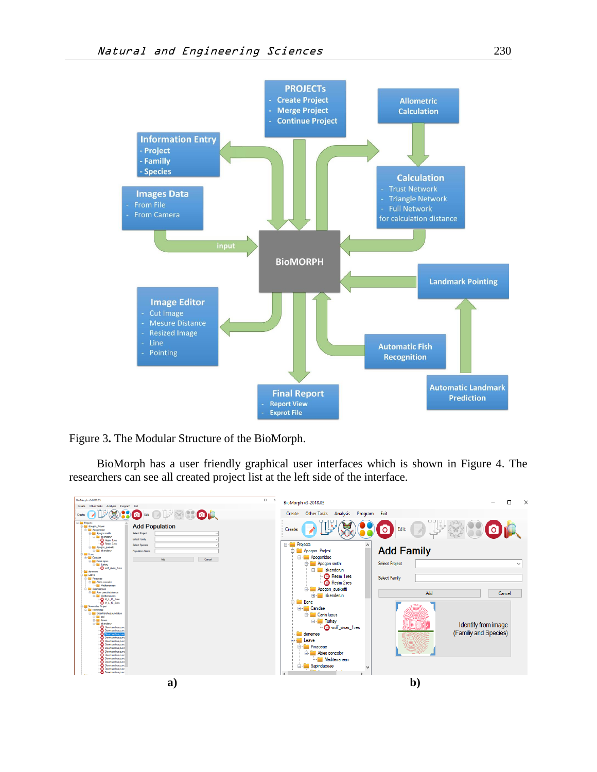

Figure 3**.** The Modular Structure of the BioMorph.

BioMorph has a user friendly graphical user interfaces which is shown in Figure 4. The researchers can see all created project list at the left side of the interface.

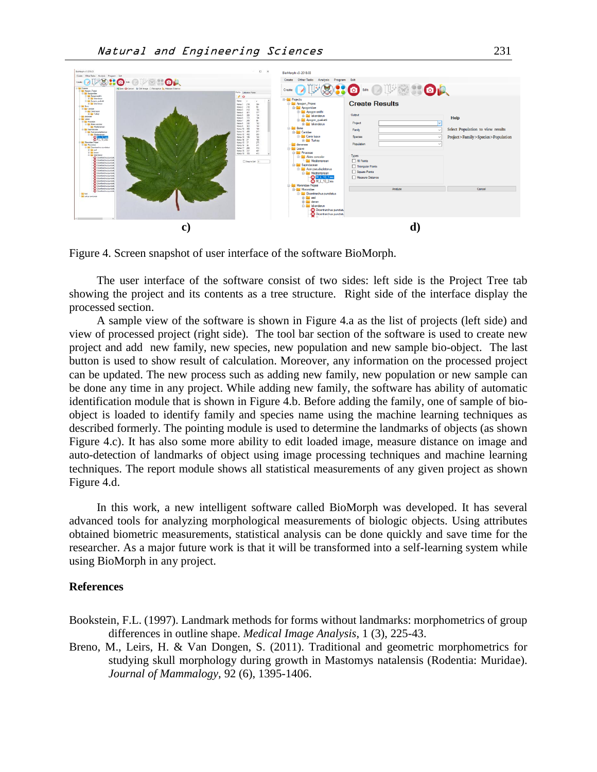![](_page_6_Figure_1.jpeg)

Figure 4. Screen snapshot of user interface of the software BioMorph.

The user interface of the software consist of two sides: left side is the Project Tree tab showing the project and its contents as a tree structure. Right side of the interface display the processed section.

A sample view of the software is shown in Figure 4.a as the list of projects (left side) and view of processed project (right side). The tool bar section of the software is used to create new project and add new family, new species, new population and new sample bio-object. The last button is used to show result of calculation. Moreover, any information on the processed project can be updated. The new process such as adding new family, new population or new sample can be done any time in any project. While adding new family, the software has ability of automatic identification module that is shown in Figure 4.b. Before adding the family, one of sample of bioobject is loaded to identify family and species name using the machine learning techniques as described formerly. The pointing module is used to determine the landmarks of objects (as shown Figure 4.c). It has also some more ability to edit loaded image, measure distance on image and auto-detection of landmarks of object using image processing techniques and machine learning techniques. The report module shows all statistical measurements of any given project as shown Figure 4.d.

In this work, a new intelligent software called BioMorph was developed. It has several advanced tools for analyzing morphological measurements of biologic objects. Using attributes obtained biometric measurements, statistical analysis can be done quickly and save time for the researcher. As a major future work is that it will be transformed into a self-learning system while using BioMorph in any project.

#### **References**

Bookstein, F.L. (1997). Landmark methods for forms without landmarks: morphometrics of group differences in outline shape. *Medical Image Analysis*, 1 (3), 225-43.

Breno, M., Leirs, H. & Van Dongen, S. (2011). Traditional and geometric morphometrics for studying skull morphology during growth in Mastomys natalensis (Rodentia: Muridae). *Journal of Mammalogy*, 92 (6), 1395-1406.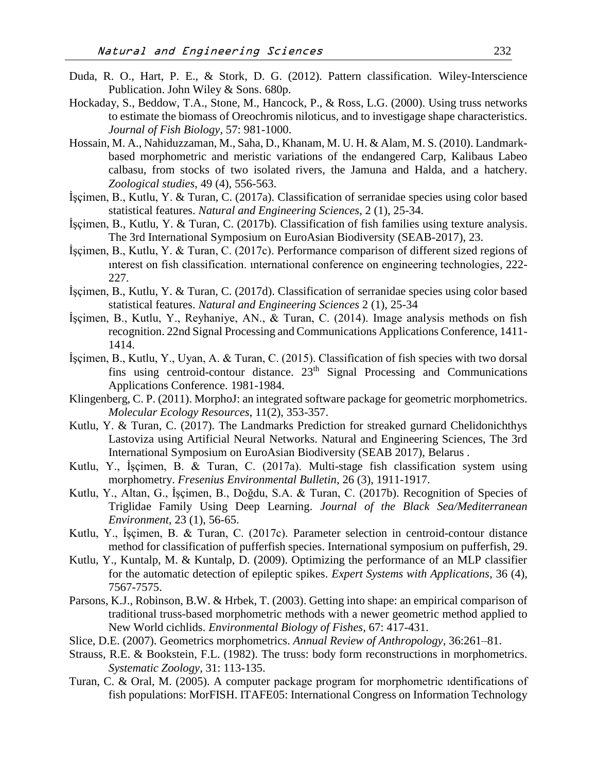- Duda, R. O., Hart, P. E., & Stork, D. G. (2012). Pattern classification. Wiley-Interscience Publication. John Wiley & Sons. 680p.
- Hockaday, S., Beddow, T.A., Stone, M., Hancock, P., & Ross, L.G. (2000). Using truss networks to estimate the biomass of Oreochromis niloticus, and to investigage shape characteristics. *Journal of Fish Biology,* 57: 981-1000.
- Hossain, M. A., Nahiduzzaman, M., Saha, D., Khanam, M. U. H. & Alam, M. S. (2010). Landmarkbased morphometric and meristic variations of the endangered Carp, Kalibaus Labeo calbasu, from stocks of two isolated rivers, the Jamuna and Halda, and a hatchery. *Zoological studies*, 49 (4), 556-563.
- İşçimen, B., Kutlu, Y. & Turan, C. (2017a). Classification of serranidae species using color based statistical features. *Natural and Engineering Sciences*, 2 (1), 25-34.
- İşçimen, B., Kutlu, Y. & Turan, C. (2017b). Classification of fish families using texture analysis. The 3rd International Symposium on EuroAsian Biodiversity (SEAB-2017), 23.
- İşçimen, B., Kutlu, Y. & Turan, C. (2017c). Performance comparison of different sized regions of ınterest on fish classification. ınternational conference on engineering technologies, 222- 227.
- İşçimen, B., Kutlu, Y. & Turan, C. (2017d). Classification of serranidae species using color based statistical features. *Natural and Engineering Sciences* 2 (1), 25-34
- İşçimen, B., Kutlu, Y., Reyhaniye, AN., & Turan, C. (2014). Image analysis methods on fish recognition. 22nd Signal Processing and Communications Applications Conference, 1411- 1414.
- İşçimen, B., Kutlu, Y., Uyan, A. & Turan, C. (2015). Classification of fish species with two dorsal fins using centroid-contour distance.  $23<sup>th</sup>$  Signal Processing and Communications Applications Conference. 1981-1984.
- Klingenberg, C. P. (2011). MorphoJ: an integrated software package for geometric morphometrics. *Molecular Ecology Resources*, 11(2), 353-357.
- Kutlu, Y. & Turan, C. (2017). The Landmarks Prediction for streaked gurnard Chelidonichthys Lastoviza using Artificial Neural Networks. Natural and Engineering Sciences, The 3rd International Symposium on EuroAsian Biodiversity (SEAB 2017), Belarus .
- Kutlu, Y., İşçimen, B. & Turan, C. (2017a). Multi-stage fish classification system using morphometry. *Fresenius Environmental Bulletin*, 26 (3), 1911-1917.
- Kutlu, Y., Altan, G., İşçimen, B., Doğdu, S.A. & Turan, C. (2017b). Recognition of Species of Triglidae Family Using Deep Learning. *Journal of the Black Sea/Mediterranean Environment*, 23 (1), 56-65.
- Kutlu, Y., İşçimen, B. & Turan, C. (2017c). Parameter selection in centroid-contour distance method for classification of pufferfish species. International symposium on pufferfish, 29.
- Kutlu, Y., Kuntalp, M. & Kuntalp, D. (2009). Optimizing the performance of an MLP classifier for the automatic detection of epileptic spikes. *Expert Systems with Applications*, 36 (4), 7567-7575.
- Parsons, K.J., Robinson, B.W. & Hrbek, T. (2003). Getting into shape: an empirical comparison of traditional truss-based morphometric methods with a newer geometric method applied to New World cichlids. *Environmental Biology of Fishes*, 67: 417-431.
- Slice, D.E. (2007). Geometrics morphometrics. *Annual Review of Anthropology,* 36:261–81.
- Strauss, R.E. & Bookstein, F.L. (1982). The truss: body form reconstructions in morphometrics. *Systematic Zoology,* 31: 113-135.
- Turan, C. & Oral, M. (2005). A computer package program for morphometric ıdentifications of fish populations: MorFISH. ITAFE05: International Congress on Information Technology